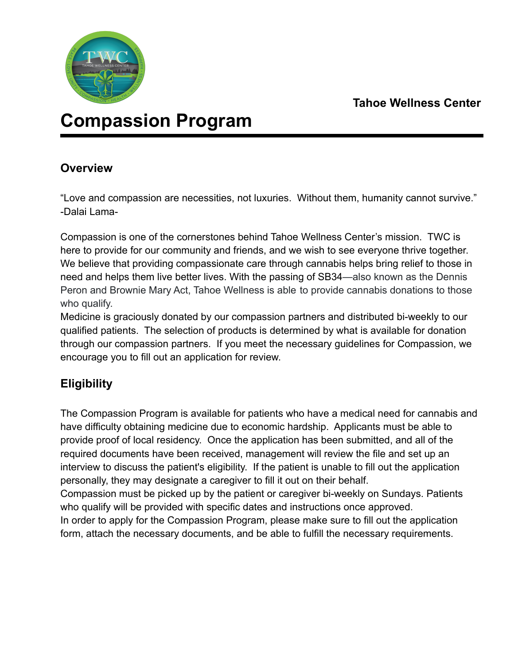

# **Compassion Program**

### **Overview**

"Love and compassion are necessities, not luxuries. Without them, humanity cannot survive." -Dalai Lama-

Compassion is one of the cornerstones behind Tahoe Wellness Center's mission. TWC is here to provide for our community and friends, and we wish to see everyone thrive together. We believe that providing compassionate care through cannabis helps bring relief to those in need and helps them live better lives. With the passing of SB34—also known as the Dennis Peron and Brownie Mary Act, Tahoe Wellness is able to provide cannabis donations to those who qualify.

Medicine is graciously donated by our compassion partners and distributed bi-weekly to our qualified patients. The selection of products is determined by what is available for donation through our compassion partners. If you meet the necessary guidelines for Compassion, we encourage you to fill out an application for review.

## **Eligibility**

The Compassion Program is available for patients who have a medical need for cannabis and have difficulty obtaining medicine due to economic hardship. Applicants must be able to provide proof of local residency. Once the application has been submitted, and all of the required documents have been received, management will review the file and set up an interview to discuss the patient's eligibility. If the patient is unable to fill out the application personally, they may designate a caregiver to fill it out on their behalf.

Compassion must be picked up by the patient or caregiver bi-weekly on Sundays. Patients who qualify will be provided with specific dates and instructions once approved.

In order to apply for the Compassion Program, please make sure to fill out the application form, attach the necessary documents, and be able to fulfill the necessary requirements.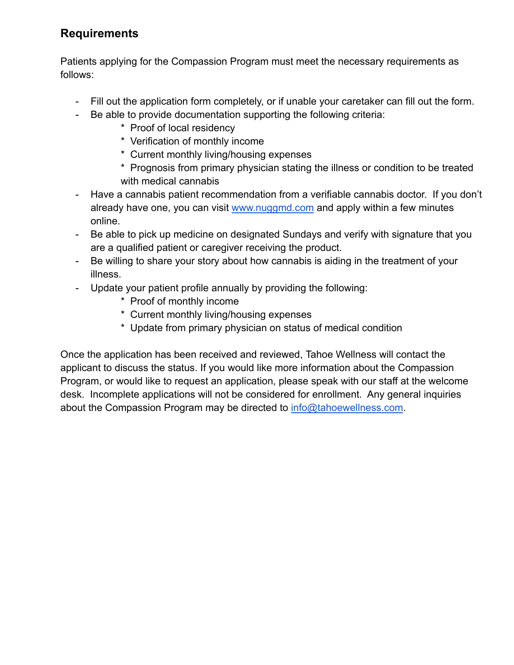### **Requirements**

Patients applying for the Compassion Program must meet the necessary requirements as follows:

- Fill out the application form completely, or if unable your caretaker can fill out the form.
- Be able to provide documentation supporting the following criteria:
	- \* Proof of local residency
	- \* Verification of monthly income
	- \* Current monthly living/housing expenses

\* Prognosis from primary physician stating the illness or condition to be treated with medical cannabis

- Have a cannabis patient recommendation from a verifiable cannabis doctor. If you don't already have one, you can visit [www.nuggmd.com](http://www.nuggmd.com) and apply within a few minutes online.
- Be able to pick up medicine on designated Sundays and verify with signature that you are a qualified patient or caregiver receiving the product.
- Be willing to share your story about how cannabis is aiding in the treatment of your illness.
- Update your patient profile annually by providing the following:
	- \* Proof of monthly income
	- \* Current monthly living/housing expenses
	- \* Update from primary physician on status of medical condition

Once the application has been received and reviewed, Tahoe Wellness will contact the applicant to discuss the status. If you would like more information about the Compassion Program, or would like to request an application, please speak with our staff at the welcome desk. Incomplete applications will not be considered for enrollment. Any general inquiries about the Compassion Program may be directed to [info@tahoewellness.com](mailto:info@tahoewellness.com).